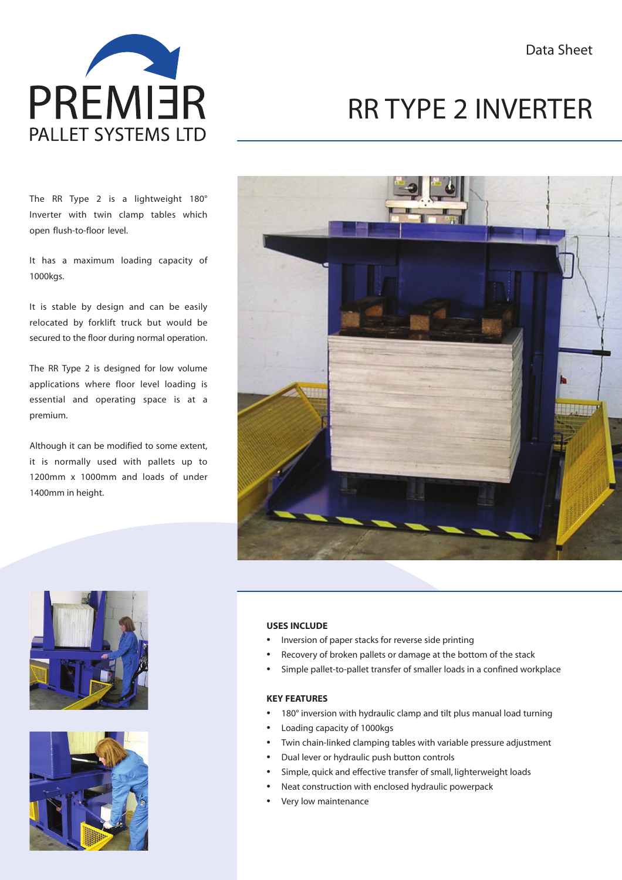

# RR TYPE 2 INVERTER

The RR Type 2 is a lightweight 180° Inverter with twin clamp tables which open flush-to-floor level.

It has a maximum loading capacity of 1000kgs.

It is stable by design and can be easily relocated by forklift truck but would be secured to the floor during normal operation.

The RR Type 2 is designed for low volume applications where floor level loading is essential and operating space is at a premium.

Although it can be modified to some extent, it is normally used with pallets up to 1200mm x 1000mm and loads of under 1400mm in height.







#### **USES INCLUDE**

- Inversion of paper stacks for reverse side printing
- Recovery of broken pallets or damage at the bottom of the stack
- Simple pallet-to-pallet transfer of smaller loads in a confined workplace

#### **KEY FEATURES**

- 180° inversion with hydraulic clamp and tilt plus manual load turning
- Loading capacity of 1000kgs
- Twin chain-linked clamping tables with variable pressure adjustment
- Dual lever or hydraulic push button controls
- Simple, quick and effective transfer of small, lighterweight loads
- Neat construction with enclosed hydraulic powerpack
- Very low maintenance